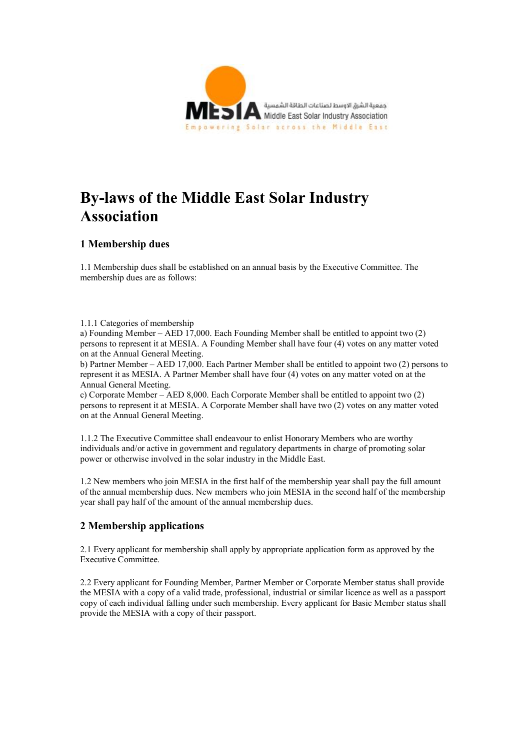

# **By-laws of the Middle East Solar Industry Association**

# **1 Membership dues**

1.1 Membership dues shall be established on an annual basis by the Executive Committee. The membership dues are as follows:

#### 1.1.1 Categories of membership

a) Founding Member – AED 17,000. Each Founding Member shall be entitled to appoint two (2) persons to represent it at MESIA. A Founding Member shall have four (4) votes on any matter voted on at the Annual General Meeting.

b) Partner Member – AED 17,000. Each Partner Member shall be entitled to appoint two (2) persons to represent it as MESIA. A Partner Member shall have four (4) votes on any matter voted on at the Annual General Meeting.

c) Corporate Member – AED 8,000. Each Corporate Member shall be entitled to appoint two (2) persons to represent it at MESIA. A Corporate Member shall have two (2) votes on any matter voted on at the Annual General Meeting.

1.1.2 The Executive Committee shall endeavour to enlist Honorary Members who are worthy individuals and/or active in government and regulatory departments in charge of promoting solar power or otherwise involved in the solar industry in the Middle East.

1.2 New members who join MESIA in the first half of the membership year shall pay the full amount of the annual membership dues. New members who join MESIA in the second half of the membership year shall pay half of the amount of the annual membership dues.

# **2 Membership applications**

2.1 Every applicant for membership shall apply by appropriate application form as approved by the Executive Committee.

2.2 Every applicant for Founding Member, Partner Member or Corporate Member status shall provide the MESIA with a copy of a valid trade, professional, industrial or similar licence as well as a passport copy of each individual falling under such membership. Every applicant for Basic Member status shall provide the MESIA with a copy of their passport.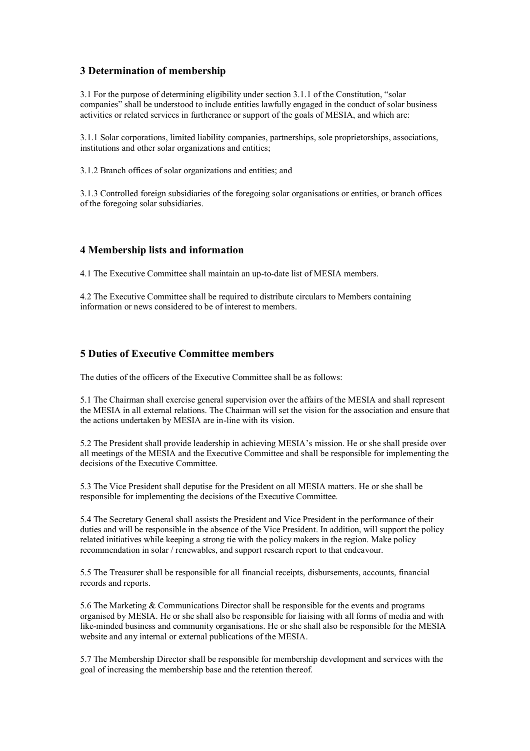# **3 Determination of membership**

3.1 For the purpose of determining eligibility under section 3.1.1 of the Constitution, "solar companies" shall be understood to include entities lawfully engaged in the conduct of solar business activities or related services in furtherance or support of the goals of MESIA, and which are:

3.1.1 Solar corporations, limited liability companies, partnerships, sole proprietorships, associations, institutions and other solar organizations and entities;

3.1.2 Branch offices of solar organizations and entities; and

3.1.3 Controlled foreign subsidiaries of the foregoing solar organisations or entities, or branch offices of the foregoing solar subsidiaries.

## **4 Membership lists and information**

4.1 The Executive Committee shall maintain an up-to-date list of MESIA members.

4.2 The Executive Committee shall be required to distribute circulars to Members containing information or news considered to be of interest to members.

#### **5 Duties of Executive Committee members**

The duties of the officers of the Executive Committee shall be as follows:

5.1 The Chairman shall exercise general supervision over the affairs of the MESIA and shall represent the MESIA in all external relations. The Chairman will set the vision for the association and ensure that the actions undertaken by MESIA are in-line with its vision.

5.2 The President shall provide leadership in achieving MESIA's mission. He or she shall preside over all meetings of the MESIA and the Executive Committee and shall be responsible for implementing the decisions of the Executive Committee.

5.3 The Vice President shall deputise for the President on all MESIA matters. He or she shall be responsible for implementing the decisions of the Executive Committee.

5.4 The Secretary General shall assists the President and Vice President in the performance of their duties and will be responsible in the absence of the Vice President. In addition, will support the policy related initiatives while keeping a strong tie with the policy makers in the region. Make policy recommendation in solar / renewables, and support research report to that endeavour.

5.5 The Treasurer shall be responsible for all financial receipts, disbursements, accounts, financial records and reports.

5.6 The Marketing & Communications Director shall be responsible for the events and programs organised by MESIA. He or she shall also be responsible for liaising with all forms of media and with like-minded business and community organisations. He or she shall also be responsible for the MESIA website and any internal or external publications of the MESIA.

5.7 The Membership Director shall be responsible for membership development and services with the goal of increasing the membership base and the retention thereof.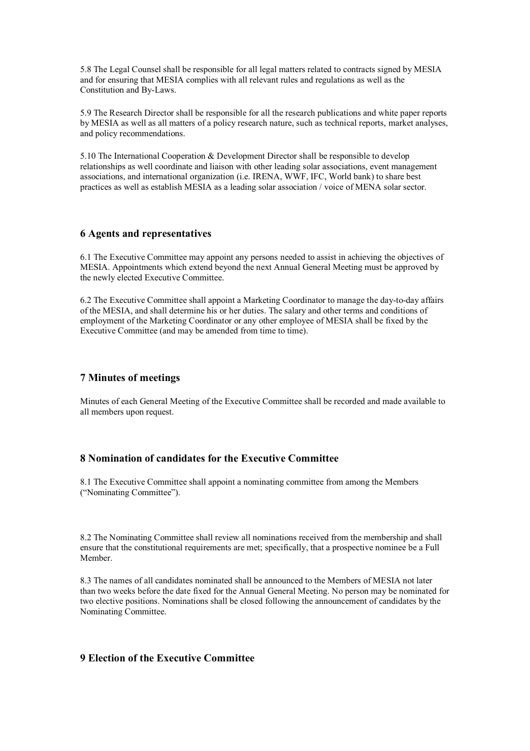5.8 The Legal Counsel shall be responsible for all legal matters related to contracts signed by MESIA and for ensuring that MESIA complies with all relevant rules and regulations as well as the Constitution and By-Laws.

5.9 The Research Director shall be responsible for all the research publications and white paper reports by MESIA as well as all matters of a policy research nature, such as technical reports, market analyses, and policy recommendations.

5.10 The International Cooperation & Development Director shall be responsible to develop relationships as well coordinate and liaison with other leading solar associations, event management associations, and international organization (i.e. IRENA, WWF, IFC, World bank) to share best practices as well as establish MESIA as a leading solar association / voice of MENA solar sector.

## **6 Agents and representatives**

6.1 The Executive Committee may appoint any persons needed to assist in achieving the objectives of MESIA. Appointments which extend beyond the next Annual General Meeting must be approved by the newly elected Executive Committee.

6.2 The Executive Committee shall appoint a Marketing Coordinator to manage the day-to-day affairs of the MESIA, and shall determine his or her duties. The salary and other terms and conditions of employment of the Marketing Coordinator or any other employee of MESIA shall be fixed by the Executive Committee (and may be amended from time to time).

# **7 Minutes of meetings**

Minutes of each General Meeting of the Executive Committee shall be recorded and made available to all members upon request.

## **8 Nomination of candidates for the Executive Committee**

8.1 The Executive Committee shall appoint a nominating committee from among the Members ("Nominating Committee").

8.2 The Nominating Committee shall review all nominations received from the membership and shall ensure that the constitutional requirements are met; specifically, that a prospective nominee be a Full Member.

8.3 The names of all candidates nominated shall be announced to the Members of MESIA not later than two weeks before the date fixed for the Annual General Meeting. No person may be nominated for two elective positions. Nominations shall be closed following the announcement of candidates by the Nominating Committee.

# **9 Election of the Executive Committee**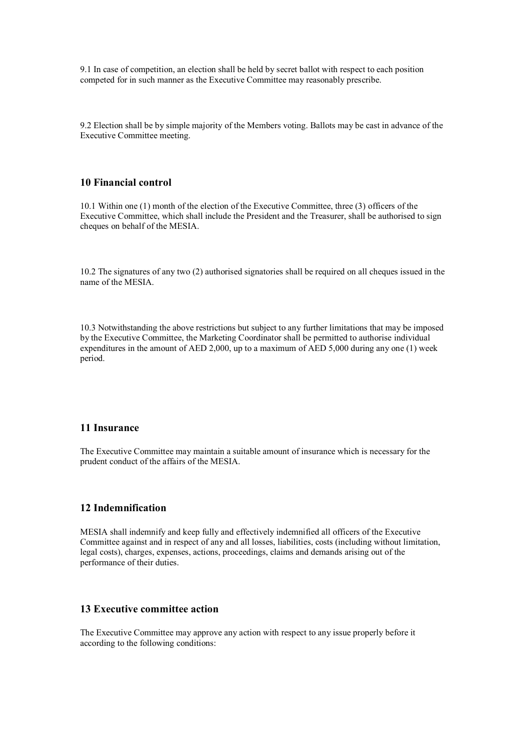9.1 In case of competition, an election shall be held by secret ballot with respect to each position competed for in such manner as the Executive Committee may reasonably prescribe.

9.2 Election shall be by simple majority of the Members voting. Ballots may be cast in advance of the Executive Committee meeting.

# **10 Financial control**

10.1 Within one (1) month of the election of the Executive Committee, three (3) officers of the Executive Committee, which shall include the President and the Treasurer, shall be authorised to sign cheques on behalf of the MESIA.

10.2 The signatures of any two (2) authorised signatories shall be required on all cheques issued in the name of the MESIA.

10.3 Notwithstanding the above restrictions but subject to any further limitations that may be imposed by the Executive Committee, the Marketing Coordinator shall be permitted to authorise individual expenditures in the amount of AED 2,000, up to a maximum of AED 5,000 during any one (1) week period.

#### **11 Insurance**

The Executive Committee may maintain a suitable amount of insurance which is necessary for the prudent conduct of the affairs of the MESIA.

#### **12 Indemnification**

MESIA shall indemnify and keep fully and effectively indemnified all officers of the Executive Committee against and in respect of any and all losses, liabilities, costs (including without limitation, legal costs), charges, expenses, actions, proceedings, claims and demands arising out of the performance of their duties.

# **13 Executive committee action**

The Executive Committee may approve any action with respect to any issue properly before it according to the following conditions: